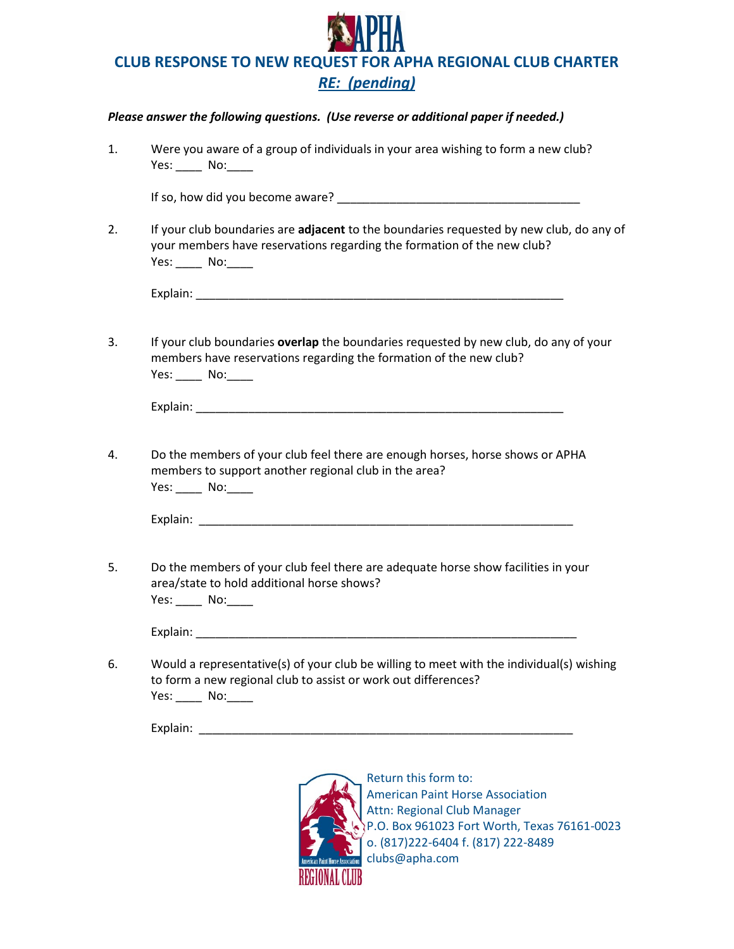

## *Please answer the following questions. (Use reverse or additional paper if needed.)*

1. Were you aware of a group of individuals in your area wishing to form a new club? Yes: No: If so, how did you become aware? The same of the same of the same of the same of the same of the same of the same of the same of the same of the same of the same of the same of the same of the same of the same of the same 2. If your club boundaries are **adjacent** to the boundaries requested by new club, do any of your members have reservations regarding the formation of the new club? Yes: \_\_\_\_\_ No: \_\_\_\_\_ Explain: \_\_\_\_\_\_\_\_\_\_\_\_\_\_\_\_\_\_\_\_\_\_\_\_\_\_\_\_\_\_\_\_\_\_\_\_\_\_\_\_\_\_\_\_\_\_\_\_\_\_\_\_\_\_\_\_ 3. If your club boundaries **overlap** the boundaries requested by new club, do any of your members have reservations regarding the formation of the new club? Yes: \_\_\_\_\_ No: \_\_\_\_\_ Explain: 4. Do the members of your club feel there are enough horses, horse shows or APHA members to support another regional club in the area? Yes: \_\_\_\_\_ No: \_\_\_\_ Explain: 5. Do the members of your club feel there are adequate horse show facilities in your area/state to hold additional horse shows? Yes: \_\_\_\_\_ No: \_\_\_\_

Explain: \_\_\_\_\_\_\_\_\_\_\_\_\_\_\_\_\_\_\_\_\_\_\_\_\_\_\_\_\_\_\_\_\_\_\_\_\_\_\_\_\_\_\_\_\_\_\_\_\_\_\_\_\_\_\_\_\_\_

6. Would a representative(s) of your club be willing to meet with the individual(s) wishing to form a new regional club to assist or work out differences? Yes: \_\_\_\_\_ No: \_\_\_\_

Explain: \_\_\_\_\_\_\_\_\_\_\_\_\_\_\_\_\_\_\_\_\_\_\_\_\_\_\_\_\_\_\_\_\_\_\_\_\_\_\_\_\_\_\_\_\_\_\_\_\_\_\_\_\_\_\_\_\_



Return this form to: American Paint Horse Association Attn: Regional Club Manager P.O. Box 961023 Fort Worth, Texas 76161-0023 o. (817)222-6404 f. (817) 222-8489 clubs@apha.com